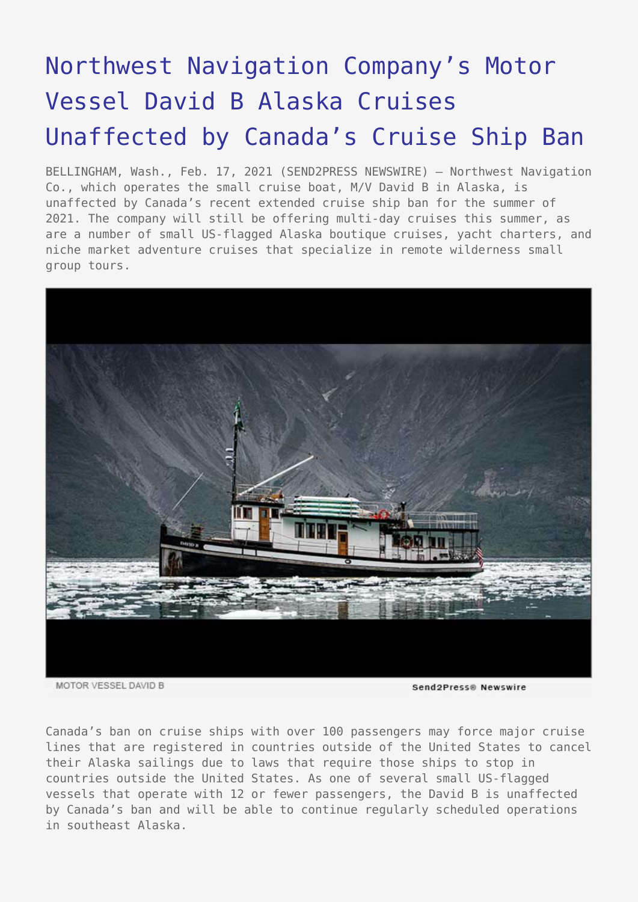## [Northwest Navigation Company's Motor](https://www.send2press.com/wire/northwest-navigation-companys-motor-vessel-david-b-alaska-cruises-unaffected-by-canadas-cruise-ship-ban/) [Vessel David B Alaska Cruises](https://www.send2press.com/wire/northwest-navigation-companys-motor-vessel-david-b-alaska-cruises-unaffected-by-canadas-cruise-ship-ban/) [Unaffected by Canada's Cruise Ship Ban](https://www.send2press.com/wire/northwest-navigation-companys-motor-vessel-david-b-alaska-cruises-unaffected-by-canadas-cruise-ship-ban/)

BELLINGHAM, Wash., Feb. 17, 2021 (SEND2PRESS NEWSWIRE) — Northwest Navigation Co., which operates the small cruise boat, M/V David B in Alaska, is unaffected by Canada's recent extended cruise ship ban for the summer of 2021. The company will still be offering multi-day cruises this summer, as are a number of small US-flagged Alaska boutique cruises, yacht charters, and niche market adventure cruises that specialize in remote wilderness small group tours.



MOTOR VESSEL DAVID B

Send2Press® Newswire

Canada's ban on cruise ships with over 100 passengers may force major cruise lines that are registered in countries outside of the United States to cancel their Alaska sailings due to laws that require those ships to stop in countries outside the United States. As one of several small US-flagged vessels that operate with 12 or fewer passengers, the David B is unaffected by Canada's ban and will be able to continue regularly scheduled operations in southeast Alaska.